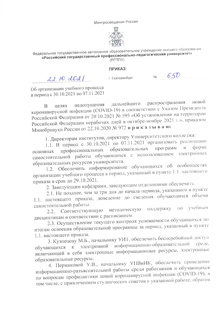Минпросвещения России



Федеральное государственное автономное образовательное учреждение высшего образования «Российский государственный профессионально-педагогический университет»  $(PT\Pi T)$ 

## **ПРИКАЗ**

 $22.10.2021$ 

г. Екатеринбург

 $650$  $N<sub>0</sub>$ 

Об организации учебного процесса в период с 30.10.2021 по 07.11.2021

распространения новой дальнейшего недопущения нелях  $\overline{B}$ коронавирусной инфекции (COVID-19) в соответствии с Указом Президента Российской Федерации от 20 10.2021 № 595 «Об установлении на территории Российской Федерации нерабочих дней в октябре-ноябре 2021 г.», приказом Минобрнауки России от 22.10.2020 № 972 приказываю:

1. Директорам институтов, директору Университетского колледжа:

1.1. В период с 30.10.2021 по 07.11.2021 организовать реализацию форме программ профессиональных образовательных  $B$ основных самостоятельной работы обучающихся с использованием электронных образовательных ресурсов университета.

1.2. Обеспечить информирование обучающихся об особенностях организации учебного процесса в период, указанный в пункте 1.1. настоящего приказа в срок до 29.10.2021.

2. Заведующим кафедрами, заведующим отделениями обеспечить:

2.1. Не позднее, чем за три дня до начала периода, указанного в пункте 1.1. настоящего приказа, доведение до сведения обучающихся объема самостоятельной работы.

учебным поддержку  $\Pi$ O методическую Соответствующую  $2.2.$ дисциплинам в соответствии с расписанием.

2.3. Осуществление текущего контроля успеваемости обучающихся по итогам освоения образовательной программы за период, указанный в пункте 1.1. настоящего приказа.

3. Кузнецову М.Б., начальнику УИТ, обеспечить бесперебойный доступ обучающихся к электронной информационно-образовательной среде, включающей в себя электронные информационные ресурсы, электронные образовательные ресурсы.

4. Пермяковой У.В., начальнику УПВиИК, обеспечить проведение информационно-разъяснительной работы среди работников и обучающихся по вопросам профилактики новой коронавирусной инфекции (COVID-19), в том числе, с привлечением студенческих советов к указанной работе, обратив